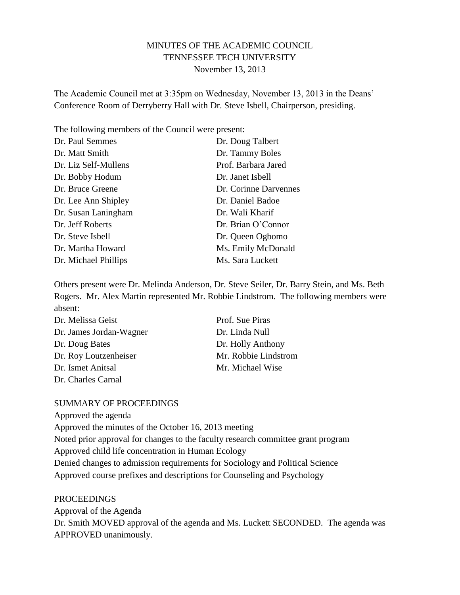# MINUTES OF THE ACADEMIC COUNCIL TENNESSEE TECH UNIVERSITY November 13, 2013

The Academic Council met at 3:35pm on Wednesday, November 13, 2013 in the Deans' Conference Room of Derryberry Hall with Dr. Steve Isbell, Chairperson, presiding.

The following members of the Council were present:

| Dr. Paul Semmes      | Dr. Doug Talbert      |
|----------------------|-----------------------|
| Dr. Matt Smith       | Dr. Tammy Boles       |
| Dr. Liz Self-Mullens | Prof. Barbara Jared   |
| Dr. Bobby Hodum      | Dr. Janet Isbell      |
| Dr. Bruce Greene     | Dr. Corinne Darvennes |
| Dr. Lee Ann Shipley  | Dr. Daniel Badoe      |
| Dr. Susan Laningham  | Dr. Wali Kharif       |
| Dr. Jeff Roberts     | Dr. Brian O'Connor    |
| Dr. Steve Isbell     | Dr. Queen Ogbomo      |
| Dr. Martha Howard    | Ms. Emily McDonald    |
| Dr. Michael Phillips | Ms. Sara Luckett      |

Others present were Dr. Melinda Anderson, Dr. Steve Seiler, Dr. Barry Stein, and Ms. Beth Rogers. Mr. Alex Martin represented Mr. Robbie Lindstrom. The following members were absent:

| Dr. Melissa Geist       | Prof. Sue Piras      |
|-------------------------|----------------------|
| Dr. James Jordan-Wagner | Dr. Linda Null       |
| Dr. Doug Bates          | Dr. Holly Anthony    |
| Dr. Roy Loutzenheiser   | Mr. Robbie Lindstrom |
| Dr. Ismet Anitsal       | Mr. Michael Wise     |
| Dr. Charles Carnal      |                      |

### SUMMARY OF PROCEEDINGS

Approved the agenda Approved the minutes of the October 16, 2013 meeting Noted prior approval for changes to the faculty research committee grant program Approved child life concentration in Human Ecology Denied changes to admission requirements for Sociology and Political Science Approved course prefixes and descriptions for Counseling and Psychology

PROCEEDINGS

Approval of the Agenda

Dr. Smith MOVED approval of the agenda and Ms. Luckett SECONDED. The agenda was APPROVED unanimously.